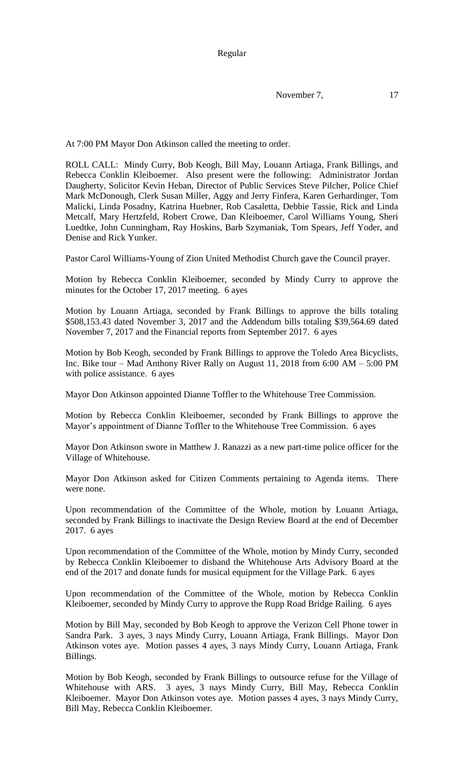Regular

November 7, 17

At 7:00 PM Mayor Don Atkinson called the meeting to order.

ROLL CALL: Mindy Curry, Bob Keogh, Bill May, Louann Artiaga, Frank Billings, and Rebecca Conklin Kleiboemer. Also present were the following: Administrator Jordan Daugherty, Solicitor Kevin Heban, Director of Public Services Steve Pilcher, Police Chief Mark McDonough, Clerk Susan Miller, Aggy and Jerry Finfera, Karen Gerhardinger, Tom Malicki, Linda Posadny, Katrina Huebner, Rob Casaletta, Debbie Tassie, Rick and Linda Metcalf, Mary Hertzfeld, Robert Crowe, Dan Kleiboemer, Carol Williams Young, Sheri Luedtke, John Cunningham, Ray Hoskins, Barb Szymaniak, Tom Spears, Jeff Yoder, and Denise and Rick Yunker.

Pastor Carol Williams-Young of Zion United Methodist Church gave the Council prayer.

Motion by Rebecca Conklin Kleiboemer, seconded by Mindy Curry to approve the minutes for the October 17, 2017 meeting. 6 ayes

Motion by Louann Artiaga, seconded by Frank Billings to approve the bills totaling \$508,153.43 dated November 3, 2017 and the Addendum bills totaling \$39,564.69 dated November 7, 2017 and the Financial reports from September 2017. 6 ayes

Motion by Bob Keogh, seconded by Frank Billings to approve the Toledo Area Bicyclists, Inc. Bike tour – Mad Anthony River Rally on August 11, 2018 from 6:00 AM – 5:00 PM with police assistance. 6 ayes

Mayor Don Atkinson appointed Dianne Toffler to the Whitehouse Tree Commission.

Motion by Rebecca Conklin Kleiboemer, seconded by Frank Billings to approve the Mayor's appointment of Dianne Toffler to the Whitehouse Tree Commission. 6 ayes

Mayor Don Atkinson swore in Matthew J. Ranazzi as a new part-time police officer for the Village of Whitehouse.

Mayor Don Atkinson asked for Citizen Comments pertaining to Agenda items. There were none.

Upon recommendation of the Committee of the Whole, motion by Louann Artiaga, seconded by Frank Billings to inactivate the Design Review Board at the end of December 2017. 6 ayes

Upon recommendation of the Committee of the Whole, motion by Mindy Curry, seconded by Rebecca Conklin Kleiboemer to disband the Whitehouse Arts Advisory Board at the end of the 2017 and donate funds for musical equipment for the Village Park. 6 ayes

Upon recommendation of the Committee of the Whole, motion by Rebecca Conklin Kleiboemer, seconded by Mindy Curry to approve the Rupp Road Bridge Railing. 6 ayes

Motion by Bill May, seconded by Bob Keogh to approve the Verizon Cell Phone tower in Sandra Park. 3 ayes, 3 nays Mindy Curry, Louann Artiaga, Frank Billings. Mayor Don Atkinson votes aye. Motion passes 4 ayes, 3 nays Mindy Curry, Louann Artiaga, Frank Billings.

Motion by Bob Keogh, seconded by Frank Billings to outsource refuse for the Village of Whitehouse with ARS. 3 ayes, 3 nays Mindy Curry, Bill May, Rebecca Conklin Kleiboemer. Mayor Don Atkinson votes aye. Motion passes 4 ayes, 3 nays Mindy Curry, Bill May, Rebecca Conklin Kleiboemer.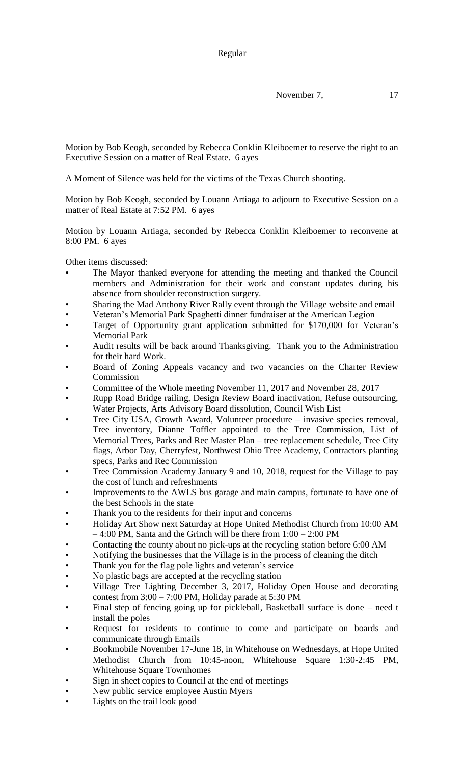Motion by Bob Keogh, seconded by Rebecca Conklin Kleiboemer to reserve the right to an Executive Session on a matter of Real Estate. 6 ayes

A Moment of Silence was held for the victims of the Texas Church shooting.

Motion by Bob Keogh, seconded by Louann Artiaga to adjourn to Executive Session on a matter of Real Estate at 7:52 PM. 6 ayes

Motion by Louann Artiaga, seconded by Rebecca Conklin Kleiboemer to reconvene at 8:00 PM. 6 ayes

Other items discussed:

- The Mayor thanked everyone for attending the meeting and thanked the Council members and Administration for their work and constant updates during his absence from shoulder reconstruction surgery.
- Sharing the Mad Anthony River Rally event through the Village website and email
- Veteran's Memorial Park Spaghetti dinner fundraiser at the American Legion
- Target of Opportunity grant application submitted for \$170,000 for Veteran's Memorial Park
- Audit results will be back around Thanksgiving. Thank you to the Administration for their hard Work.
- Board of Zoning Appeals vacancy and two vacancies on the Charter Review Commission
- Committee of the Whole meeting November 11, 2017 and November 28, 2017
- Rupp Road Bridge railing, Design Review Board inactivation, Refuse outsourcing, Water Projects, Arts Advisory Board dissolution, Council Wish List
- Tree City USA, Growth Award, Volunteer procedure invasive species removal, Tree inventory, Dianne Toffler appointed to the Tree Commission, List of Memorial Trees, Parks and Rec Master Plan – tree replacement schedule, Tree City flags, Arbor Day, Cherryfest, Northwest Ohio Tree Academy, Contractors planting specs, Parks and Rec Commission
- Tree Commission Academy January 9 and 10, 2018, request for the Village to pay the cost of lunch and refreshments
- Improvements to the AWLS bus garage and main campus, fortunate to have one of the best Schools in the state
- Thank you to the residents for their input and concerns
- Holiday Art Show next Saturday at Hope United Methodist Church from 10:00 AM – 4:00 PM, Santa and the Grinch will be there from 1:00 – 2:00 PM
- Contacting the county about no pick-ups at the recycling station before 6:00 AM
- Notifying the businesses that the Village is in the process of cleaning the ditch
- Thank you for the flag pole lights and veteran's service
- No plastic bags are accepted at the recycling station
- Village Tree Lighting December 3, 2017, Holiday Open House and decorating contest from  $3:00 - 7:00 \text{ PM}$ , Holiday parade at  $5:30 \text{ PM}$
- Final step of fencing going up for pickleball, Basketball surface is done need t install the poles
- Request for residents to continue to come and participate on boards and communicate through Emails
- Bookmobile November 17-June 18, in Whitehouse on Wednesdays, at Hope United Methodist Church from 10:45-noon, Whitehouse Square 1:30-2:45 PM, Whitehouse Square Townhomes
- Sign in sheet copies to Council at the end of meetings
- New public service employee Austin Myers
- Lights on the trail look good